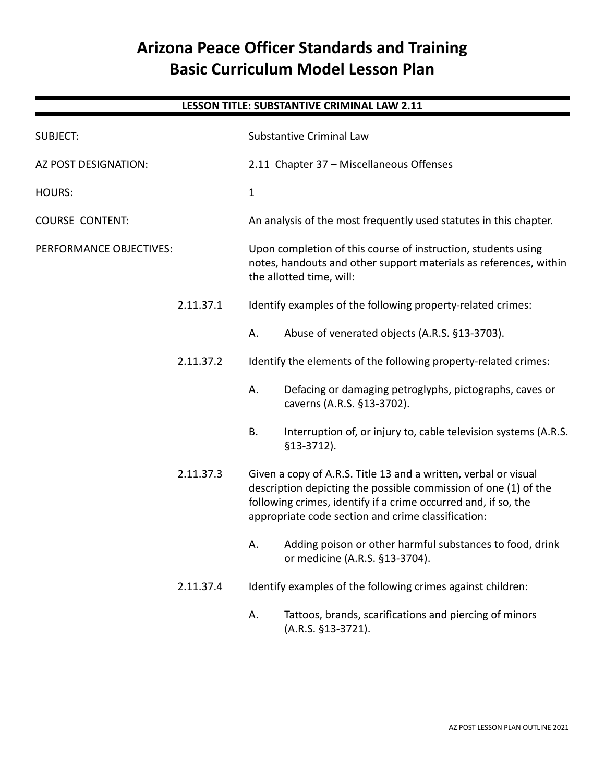# **Arizona Peace Officer Standards and Training Basic Curriculum Model Lesson Plan**

## **LESSON TITLE: SUBSTANTIVE CRIMINAL LAW 2.11**

| <b>SUBJECT:</b>         |           | <b>Substantive Criminal Law</b>                                                                                                                                |                                                                                                                                                                                                                                                            |
|-------------------------|-----------|----------------------------------------------------------------------------------------------------------------------------------------------------------------|------------------------------------------------------------------------------------------------------------------------------------------------------------------------------------------------------------------------------------------------------------|
| AZ POST DESIGNATION:    |           | 2.11 Chapter 37 - Miscellaneous Offenses                                                                                                                       |                                                                                                                                                                                                                                                            |
| <b>HOURS:</b>           |           | $\mathbf{1}$                                                                                                                                                   |                                                                                                                                                                                                                                                            |
| <b>COURSE CONTENT:</b>  |           | An analysis of the most frequently used statutes in this chapter.                                                                                              |                                                                                                                                                                                                                                                            |
| PERFORMANCE OBJECTIVES: |           | Upon completion of this course of instruction, students using<br>notes, handouts and other support materials as references, within<br>the allotted time, will: |                                                                                                                                                                                                                                                            |
|                         | 2.11.37.1 |                                                                                                                                                                | Identify examples of the following property-related crimes:                                                                                                                                                                                                |
|                         |           | А.                                                                                                                                                             | Abuse of venerated objects (A.R.S. §13-3703).                                                                                                                                                                                                              |
|                         | 2.11.37.2 |                                                                                                                                                                | Identify the elements of the following property-related crimes:                                                                                                                                                                                            |
|                         |           | Α.                                                                                                                                                             | Defacing or damaging petroglyphs, pictographs, caves or<br>caverns (A.R.S. §13-3702).                                                                                                                                                                      |
|                         |           | <b>B.</b>                                                                                                                                                      | Interruption of, or injury to, cable television systems (A.R.S.<br>$$13-3712$ ).                                                                                                                                                                           |
|                         | 2.11.37.3 |                                                                                                                                                                | Given a copy of A.R.S. Title 13 and a written, verbal or visual<br>description depicting the possible commission of one (1) of the<br>following crimes, identify if a crime occurred and, if so, the<br>appropriate code section and crime classification: |
|                         |           | Α.                                                                                                                                                             | Adding poison or other harmful substances to food, drink<br>or medicine (A.R.S. §13-3704).                                                                                                                                                                 |
|                         | 2.11.37.4 |                                                                                                                                                                | Identify examples of the following crimes against children:                                                                                                                                                                                                |
|                         |           | А.                                                                                                                                                             | Tattoos, brands, scarifications and piercing of minors<br>(A.R.S. §13-3721).                                                                                                                                                                               |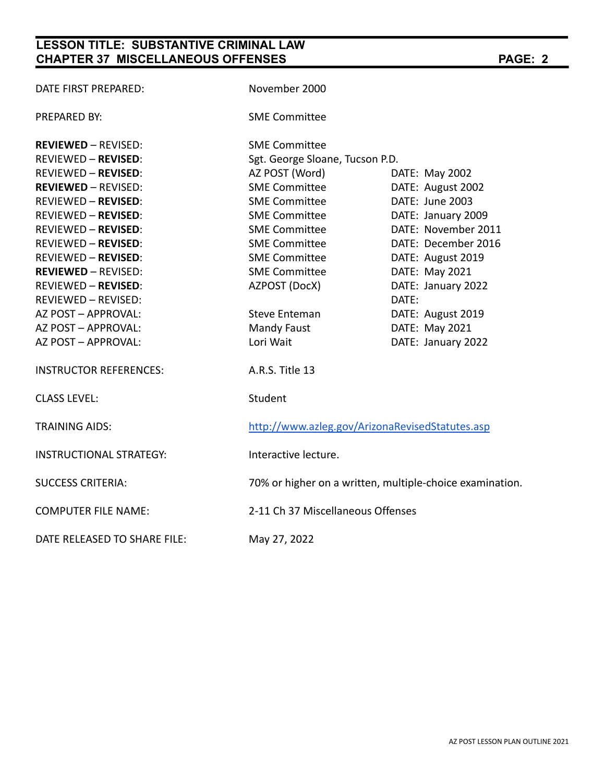# **LESSON TITLE: SUBSTANTIVE CRIMINAL LAW CHAPTER 37 MISCELLANEOUS OFFENSES PAGE: 2**

| DATE FIRST PREPARED:           | November 2000                   |                                                          |  |  |
|--------------------------------|---------------------------------|----------------------------------------------------------|--|--|
| PREPARED BY:                   | <b>SME Committee</b>            |                                                          |  |  |
| <b>REVIEWED - REVISED:</b>     | <b>SME Committee</b>            |                                                          |  |  |
| <b>REVIEWED - REVISED:</b>     | Sgt. George Sloane, Tucson P.D. |                                                          |  |  |
| <b>REVIEWED - REVISED:</b>     | AZ POST (Word)                  | DATE: May 2002                                           |  |  |
| <b>REVIEWED - REVISED:</b>     | <b>SME Committee</b>            | DATE: August 2002                                        |  |  |
| <b>REVIEWED - REVISED:</b>     | <b>SME Committee</b>            | DATE: June 2003                                          |  |  |
| <b>REVIEWED - REVISED:</b>     | <b>SME Committee</b>            | DATE: January 2009                                       |  |  |
| <b>REVIEWED - REVISED:</b>     | <b>SME Committee</b>            | DATE: November 2011                                      |  |  |
| <b>REVIEWED - REVISED:</b>     | <b>SME Committee</b>            | DATE: December 2016                                      |  |  |
| <b>REVIEWED - REVISED:</b>     | <b>SME Committee</b>            | DATE: August 2019                                        |  |  |
| <b>REVIEWED - REVISED:</b>     | <b>SME Committee</b>            | DATE: May 2021                                           |  |  |
| <b>REVIEWED - REVISED:</b>     | AZPOST (DocX)                   | DATE: January 2022                                       |  |  |
| <b>REVIEWED - REVISED:</b>     |                                 | DATE:                                                    |  |  |
| AZ POST - APPROVAL:            | <b>Steve Enteman</b>            | DATE: August 2019                                        |  |  |
| AZ POST - APPROVAL:            | <b>Mandy Faust</b>              | DATE: May 2021                                           |  |  |
| AZ POST - APPROVAL:            | Lori Wait                       | DATE: January 2022                                       |  |  |
| <b>INSTRUCTOR REFERENCES:</b>  | A.R.S. Title 13                 |                                                          |  |  |
| <b>CLASS LEVEL:</b>            | Student                         |                                                          |  |  |
| <b>TRAINING AIDS:</b>          |                                 | http://www.azleg.gov/ArizonaRevisedStatutes.asp          |  |  |
| <b>INSTRUCTIONAL STRATEGY:</b> | Interactive lecture.            |                                                          |  |  |
| <b>SUCCESS CRITERIA:</b>       |                                 | 70% or higher on a written, multiple-choice examination. |  |  |
| <b>COMPUTER FILE NAME:</b>     |                                 | 2-11 Ch 37 Miscellaneous Offenses                        |  |  |
| DATE RELEASED TO SHARE FILE:   | May 27, 2022                    |                                                          |  |  |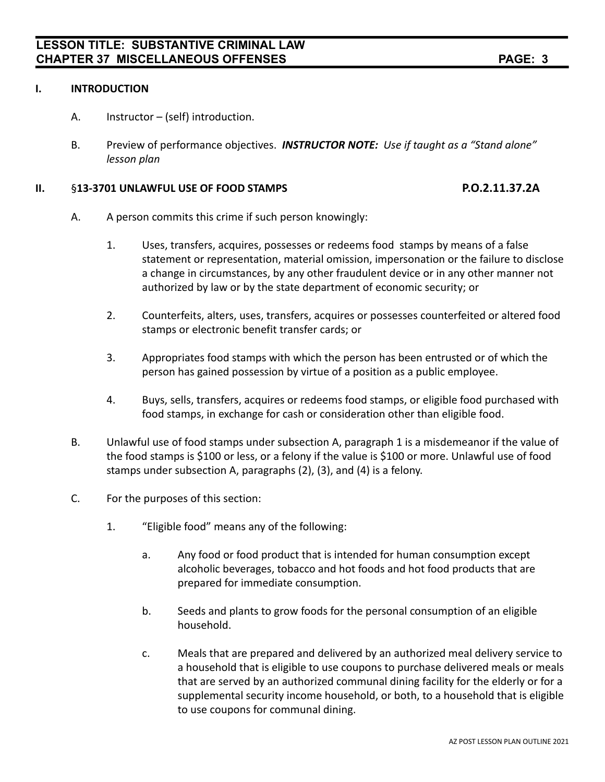### **I. INTRODUCTION**

- A. Instructor (self) introduction.
- B. Preview of performance objectives. *INSTRUCTOR NOTE: Use if taught as a "Stand alone" lesson plan*

### **II.** §**13-3701 UNLAWFUL USE OF FOOD STAMPS P.O.2.11.37.2A**

- A. A person commits this crime if such person knowingly:
	- 1. Uses, transfers, acquires, possesses or redeems food stamps by means of a false statement or representation, material omission, impersonation or the failure to disclose a change in circumstances, by any other fraudulent device or in any other manner not authorized by law or by the state department of economic security; or
	- 2. Counterfeits, alters, uses, transfers, acquires or possesses counterfeited or altered food stamps or electronic benefit transfer cards; or
	- 3. Appropriates food stamps with which the person has been entrusted or of which the person has gained possession by virtue of a position as a public employee.
	- 4. Buys, sells, transfers, acquires or redeems food stamps, or eligible food purchased with food stamps, in exchange for cash or consideration other than eligible food.
- B. Unlawful use of food stamps under subsection A, paragraph 1 is a misdemeanor if the value of the food stamps is \$100 or less, or a felony if the value is \$100 or more. Unlawful use of food stamps under subsection A, paragraphs (2), (3), and (4) is a felony.
- C. For the purposes of this section:
	- 1. "Eligible food" means any of the following:
		- a. Any food or food product that is intended for human consumption except alcoholic beverages, tobacco and hot foods and hot food products that are prepared for immediate consumption.
		- b. Seeds and plants to grow foods for the personal consumption of an eligible household.
		- c. Meals that are prepared and delivered by an authorized meal delivery service to a household that is eligible to use coupons to purchase delivered meals or meals that are served by an authorized communal dining facility for the elderly or for a supplemental security income household, or both, to a household that is eligible to use coupons for communal dining.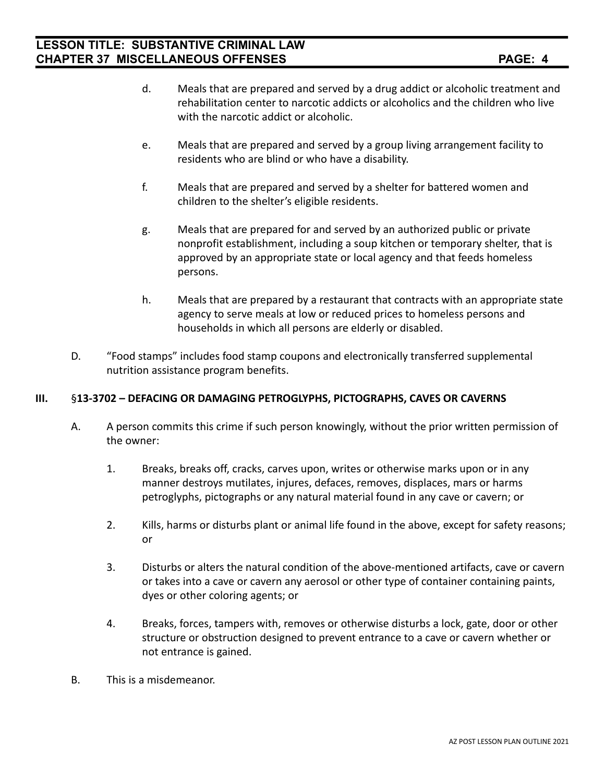- d. Meals that are prepared and served by a drug addict or alcoholic treatment and rehabilitation center to narcotic addicts or alcoholics and the children who live with the narcotic addict or alcoholic.
- e. Meals that are prepared and served by a group living arrangement facility to residents who are blind or who have a disability.
- f. Meals that are prepared and served by a shelter for battered women and children to the shelter's eligible residents.
- g. Meals that are prepared for and served by an authorized public or private nonprofit establishment, including a soup kitchen or temporary shelter, that is approved by an appropriate state or local agency and that feeds homeless persons.
- h. Meals that are prepared by a restaurant that contracts with an appropriate state agency to serve meals at low or reduced prices to homeless persons and households in which all persons are elderly or disabled.
- D. "Food stamps" includes food stamp coupons and electronically transferred supplemental nutrition assistance program benefits.

### **III.** §**13-3702 – DEFACING OR DAMAGING PETROGLYPHS, PICTOGRAPHS, CAVES OR CAVERNS**

- A. A person commits this crime if such person knowingly, without the prior written permission of the owner:
	- 1. Breaks, breaks off, cracks, carves upon, writes or otherwise marks upon or in any manner destroys mutilates, injures, defaces, removes, displaces, mars or harms petroglyphs, pictographs or any natural material found in any cave or cavern; or
	- 2. Kills, harms or disturbs plant or animal life found in the above, except for safety reasons; or
	- 3. Disturbs or alters the natural condition of the above-mentioned artifacts, cave or cavern or takes into a cave or cavern any aerosol or other type of container containing paints, dyes or other coloring agents; or
	- 4. Breaks, forces, tampers with, removes or otherwise disturbs a lock, gate, door or other structure or obstruction designed to prevent entrance to a cave or cavern whether or not entrance is gained.
- B. This is a misdemeanor.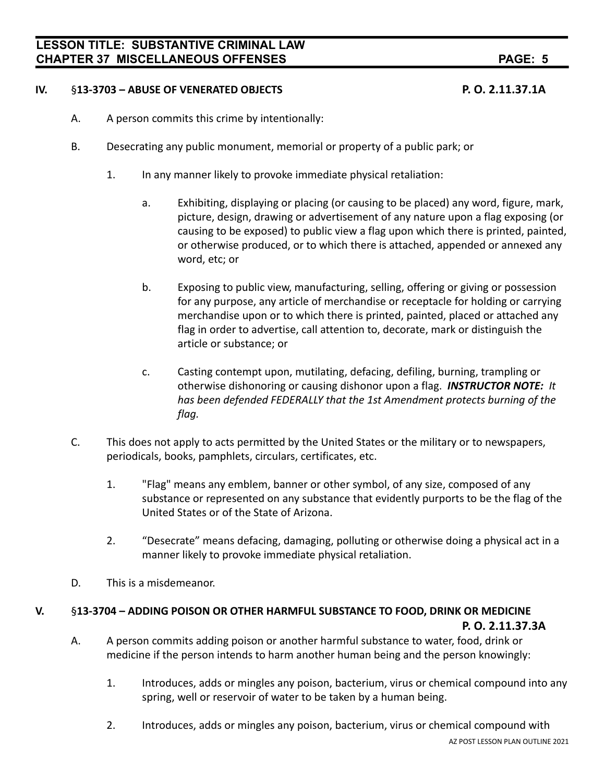### **IV.** §**13-3703 – ABUSE OF VENERATED OBJECTS P. O. 2.11.37.1A**

- A. A person commits this crime by intentionally:
- B. Desecrating any public monument, memorial or property of a public park; or
	- 1. In any manner likely to provoke immediate physical retaliation:
		- a. Exhibiting, displaying or placing (or causing to be placed) any word, figure, mark, picture, design, drawing or advertisement of any nature upon a flag exposing (or causing to be exposed) to public view a flag upon which there is printed, painted, or otherwise produced, or to which there is attached, appended or annexed any word, etc; or
		- b. Exposing to public view, manufacturing, selling, offering or giving or possession for any purpose, any article of merchandise or receptacle for holding or carrying merchandise upon or to which there is printed, painted, placed or attached any flag in order to advertise, call attention to, decorate, mark or distinguish the article or substance; or
		- c. Casting contempt upon, mutilating, defacing, defiling, burning, trampling or otherwise dishonoring or causing dishonor upon a flag. *INSTRUCTOR NOTE: It has been defended FEDERALLY that the 1st Amendment protects burning of the flag.*
- C. This does not apply to acts permitted by the United States or the military or to newspapers, periodicals, books, pamphlets, circulars, certificates, etc.
	- 1. "Flag" means any emblem, banner or other symbol, of any size, composed of any substance or represented on any substance that evidently purports to be the flag of the United States or of the State of Arizona.
	- 2. "Desecrate" means defacing, damaging, polluting or otherwise doing a physical act in a manner likely to provoke immediate physical retaliation.
- D. This is a misdemeanor.

### **V.** §**13-3704 – ADDING POISON OR OTHER HARMFUL SUBSTANCE TO FOOD, DRINK OR MEDICINE**

- **P. O. 2.11.37.3A**
- A. A person commits adding poison or another harmful substance to water, food, drink or medicine if the person intends to harm another human being and the person knowingly:
	- 1. Introduces, adds or mingles any poison, bacterium, virus or chemical compound into any spring, well or reservoir of water to be taken by a human being.
	- 2. Introduces, adds or mingles any poison, bacterium, virus or chemical compound with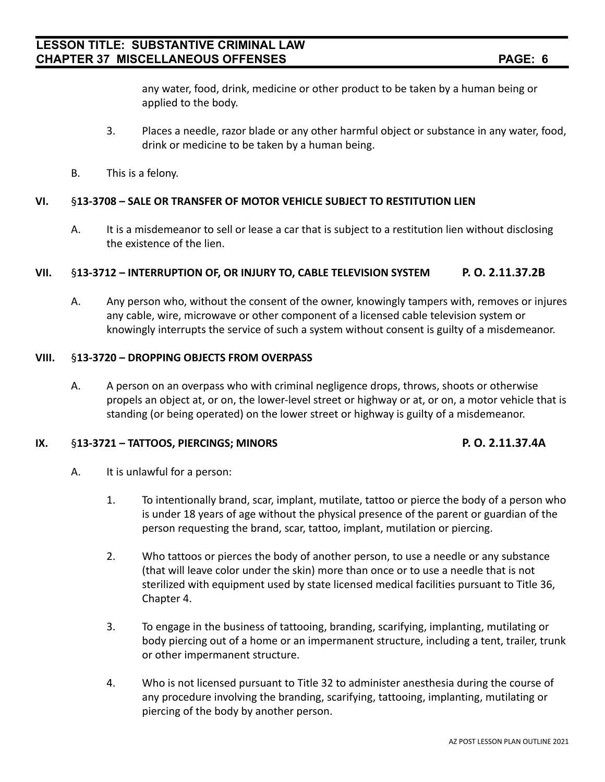any water, food, drink, medicine or other product to be taken by a human being or applied to the body.

- 3. Places a needle, razor blade or any other harmful object or substance in any water, food, drink or medicine to be taken by a human being.
- B. This is a felony.

### **VI.** §**13-3708 – SALE OR TRANSFER OF MOTOR VEHICLE SUBJECT TO RESTITUTION LIEN**

A. It is a misdemeanor to sell or lease a car that is subject to a restitution lien without disclosing the existence of the lien.

### **VII.** §**13-3712 – INTERRUPTION OF, OR INJURY TO, CABLE TELEVISION SYSTEM P. O. 2.11.37.2B**

A. Any person who, without the consent of the owner, knowingly tampers with, removes or injures any cable, wire, microwave or other component of a licensed cable television system or knowingly interrupts the service of such a system without consent is guilty of a misdemeanor.

### **VIII.** §**13-3720 – DROPPING OBJECTS FROM OVERPASS**

A. A person on an overpass who with criminal negligence drops, throws, shoots or otherwise propels an object at, or on, the lower-level street or highway or at, or on, a motor vehicle that is standing (or being operated) on the lower street or highway is guilty of a misdemeanor.

### **IX.** §**13-3721 – TATTOOS, PIERCINGS; MINORS P. O. 2.11.37.4A**

- A. It is unlawful for a person:
	- 1. To intentionally brand, scar, implant, mutilate, tattoo or pierce the body of a person who is under 18 years of age without the physical presence of the parent or guardian of the person requesting the brand, scar, tattoo, implant, mutilation or piercing.
	- 2. Who tattoos or pierces the body of another person, to use a needle or any substance (that will leave color under the skin) more than once or to use a needle that is not sterilized with equipment used by state licensed medical facilities pursuant to Title 36, Chapter 4.
	- 3. To engage in the business of tattooing, branding, scarifying, implanting, mutilating or body piercing out of a home or an impermanent structure, including a tent, trailer, trunk or other impermanent structure.
	- 4. Who is not licensed pursuant to Title 32 to administer anesthesia during the course of any procedure involving the branding, scarifying, tattooing, implanting, mutilating or piercing of the body by another person.